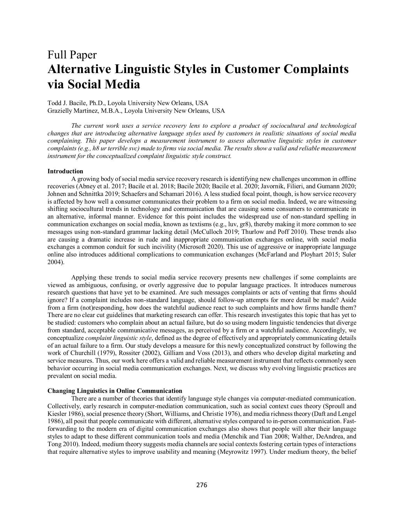# Full Paper **Alternative Linguistic Styles in Customer Complaints via Social Media**

Todd J. Bacile, Ph.D., Loyola University New Orleans, USA Grazielly Martinez, M.B.A., Loyola University New Orleans, USA

*The current work uses a service recovery lens to explore a product of sociocultural and technological changes that are introducing alternative language styles used by customers in realistic situations of social media complaining. This paper develops a measurement instrument to assess alternative linguistic styles in customer complaints (e.g., h8 ur terrible svc) made to firms via social media. The results show a valid and reliable measurement instrument for the conceptualized complaint linguistic style construct.* 

## **Introduction**

A growing body of social media service recovery research is identifying new challenges uncommon in offline recoveries (Abney et al. 2017; Bacile et al. 2018; Bacile 2020; Bacile et al. 2020; Javornik, Filieri, and Gumann 2020; Johnen and Schnittka 2019; Schaefers and Schamari 2016). A less studied focal point, though, is how service recovery is affected by how well a consumer communicates their problem to a firm on social media. Indeed, we are witnessing shifting sociocultural trends in technology and communication that are causing some consumers to communicate in an alternative, informal manner. Evidence for this point includes the widespread use of non-standard spelling in communication exchanges on social media, known as textisms (e.g., luv, gr8), thereby making it more common to see messages using non-standard grammar lacking detail (McCulloch 2019; Thurlow and Poff 2010). These trends also are causing a dramatic increase in rude and inappropriate communication exchanges online, with social media exchanges a common conduit for such incivility (Microsoft 2020). This use of aggressive or inappropriate language online also introduces additional complications to communication exchanges (McFarland and Ployhart 2015; Suler 2004).

Applying these trends to social media service recovery presents new challenges if some complaints are viewed as ambiguous, confusing, or overly aggressive due to popular language practices. It introduces numerous research questions that have yet to be examined. Are such messages complaints or acts of venting that firms should ignore? If a complaint includes non-standard language, should follow-up attempts for more detail be made? Aside from a firm (not)responding, how does the watchful audience react to such complaints and how firms handle them? There are no clear cut guidelines that marketing research can offer. This research investigates this topic that has yet to be studied: customers who complain about an actual failure, but do so using modern linguistic tendencies that diverge from standard, acceptable communicative messages, as perceived by a firm or a watchful audience. Accordingly, we conceptualize *complaint linguistic style*, defined as the degree of effectively and appropriately communicating details of an actual failure to a firm. Our study develops a measure for this newly conceptualized construct by following the work of Churchill (1979), Rossiter (2002), Gilliam and Voss (2013), and others who develop digital marketing and service measures. Thus, our work here offers a valid and reliable measurement instrument that reflects commonly seen behavior occurring in social media communication exchanges. Next, we discuss why evolving linguistic practices are prevalent on social media.

## **Changing Linguistics in Online Communication**

There are a number of theories that identify language style changes via computer-mediated communication. Collectively, early research in computer-mediation communication, such as social context cues theory (Sproull and Kiesler 1986), social presence theory (Short, Williams, and Christie 1976), and media richness theory (Daft and Lengel 1986), all posit that people communicate with different, alternative styles compared to in-person communication. Fastforwarding to the modern era of digital communication exchanges also shows that people will alter their language styles to adapt to these different communication tools and media (Menchik and Tian 2008; Walther, DeAndrea, and Tong 2010). Indeed, medium theory suggests media channels are social contexts fostering certain types of interactions that require alternative styles to improve usability and meaning (Meyrowitz 1997). Under medium theory, the belief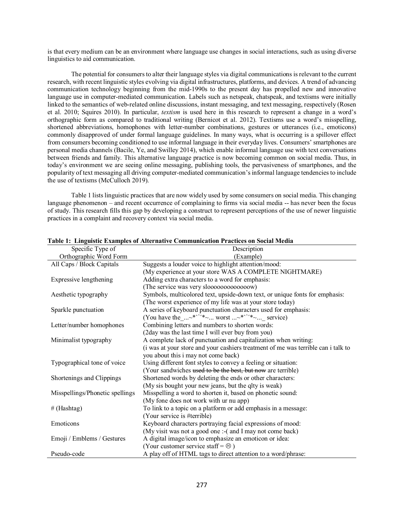is that every medium can be an environment where language use changes in social interactions, such as using diverse linguistics to aid communication.

The potential for consumers to alter their language styles via digital communications is relevant to the current research, with recent linguistic styles evolving via digital infrastructures, platforms, and devices. A trend of advancing communication technology beginning from the mid-1990s to the present day has propelled new and innovative language use in computer-mediated communication. Labels such as netspeak, chatspeak, and textisms were initially linked to the semantics of web-related online discussions, instant messaging, and text messaging, respectively (Rosen et al. 2010; Squires 2010). In particular, *textism* is used here in this research to represent a change in a word's orthographic form as compared to traditional writing (Bernicot et al. 2012). Textisms use a word's misspelling, shortened abbreviations, homophones with letter-number combinations, gestures or utterances (i.e., emoticons) commonly disapproved of under formal language guidelines. In many ways, what is occurring is a spillover effect from consumers becoming conditioned to use informal language in their everyday lives. Consumers' smartphones are personal media channels (Bacile, Ye, and Swilley 2014), which enable informal language use with text conversations between friends and family. This alternative language practice is now becoming common on social media. Thus, in today's environment we are seeing online messaging, publishing tools, the pervasiveness of smartphones, and the popularity of text messaging all driving computer-mediated communication's informal language tendencies to include the use of textisms (McCulloch 2019).

Table 1 lists linguistic practices that are now widely used by some consumers on social media. This changing language phenomenon – and recent occurrence of complaining to firms via social media -- has never been the focus of study. This research fills this gap by developing a construct to represent perceptions of the use of newer linguistic practices in a complaint and recovery context via social media.

| Specific Type of                | галы тууларды алангаа он тикинааты соннишканон ттасиссэ он босна этеми<br>Description |
|---------------------------------|---------------------------------------------------------------------------------------|
| Orthographic Word Form          | (Example)                                                                             |
| All Caps / Block Capitals       | Suggests a louder voice to highlight attention/mood:                                  |
|                                 | (My experience at your store WAS A COMPLETE NIGHTMARE)                                |
| Expressive lengthening          | Adding extra characters to a word for emphasis:                                       |
|                                 | (The service was very slooooooooooooow)                                               |
| Aesthetic typography            | Symbols, multicolored text, upside-down text, or unique fonts for emphasis:           |
|                                 | (The worst experience of my life was at your store today)                             |
| Sparkle punctuation             | A series of keyboard punctuation characters used for emphasis:                        |
|                                 | (You have the $$ <sup>*''*</sup> $\sim$ worst $$ <sup>*''*</sup> $\sim$ service)      |
| Letter/number homophones        | Combining letters and numbers to shorten words:                                       |
|                                 | (2day was the last time I will ever buy from you)                                     |
| Minimalist typography           | A complete lack of punctuation and capitalization when writing:                       |
|                                 | (i was at your store and your cashiers treatment of me was terrible can i talk to     |
|                                 | you about this i may not come back)                                                   |
| Typographical tone of voice     | Using different font styles to convey a feeling or situation:                         |
|                                 | (Your sandwiches used to be the best, but now are terrible)                           |
| Shortenings and Clippings       | Shortened words by deleting the ends or other characters:                             |
|                                 | (My sis bought your new jeans, but the qlty is weak)                                  |
| Misspellings/Phonetic spellings | Misspelling a word to shorten it, based on phonetic sound:                            |
|                                 | (My fone does not work with ur nu app)                                                |
| $#$ (Hashtag)                   | To link to a topic on a platform or add emphasis in a message:                        |
|                                 | (Your service is #terrible)                                                           |
| Emoticons                       | Keyboard characters portraying facial expressions of mood:                            |
|                                 | (My visit was not a good one :- (and I may not come back)                             |
| Emoji / Emblems / Gestures      | A digital image/icon to emphasize an emoticon or idea:                                |
|                                 | (Your customer service staff = $\circledcirc$ )                                       |
| Pseudo-code                     | A play off of HTML tags to direct attention to a word/phrase:                         |

## **Table 1: Linguistic Examples of Alternative Communication Practices on Social Media**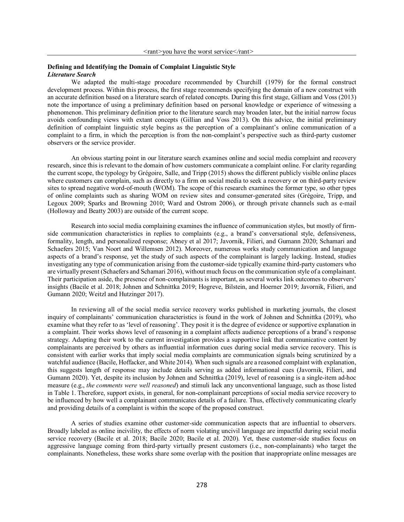## **Defining and Identifying the Domain of Complaint Linguistic Style** *Literature Search*

We adapted the multi-stage procedure recommended by Churchill (1979) for the formal construct development process. Within this process, the first stage recommends specifying the domain of a new construct with an accurate definition based on a literature search of related concepts. During this first stage, Gilliam and Voss (2013) note the importance of using a preliminary definition based on personal knowledge or experience of witnessing a phenomenon. This preliminary definition prior to the literature search may broaden later, but the initial narrow focus avoids confounding views with extant concepts (Gillian and Voss 2013). On this advice, the initial preliminary definition of complaint linguistic style begins as the perception of a complainant's online communication of a complaint to a firm, in which the perception is from the non-complaint's perspective such as third-party customer observers or the service provider.

An obvious starting point in our literature search examines online and social media complaint and recovery research, since this is relevant to the domain of how customers communicate a complaint online. For clarity regarding the current scope, the typology by Grégoire, Salle, and Tripp (2015) shows the different publicly visible online places where customers can complain, such as directly to a firm on social media to seek a recovery or on third-party review sites to spread negative word-of-mouth (WOM). The scope of this research examines the former type, so other types of online complaints such as sharing WOM on review sites and consumer-generated sites (Grégoire, Tripp, and Legoux 2009; Sparks and Browning 2010; Ward and Ostrom 2006), or through private channels such as e-mail (Holloway and Beatty 2003) are outside of the current scope.

Research into social media complaining examines the influence of communication styles, but mostly of firmside communication characteristics in replies to complaints (e.g., a brand's conversational style, defensiveness, formality, length, and personalized response; Abney et al 2017; Javornik, Filieri, and Gumann 2020; Schamari and Schaefers 2015; Van Noort and Willemsen 2012). Moreover, numerous works study communication and language aspects of a brand's response, yet the study of such aspects of the complainant is largely lacking. Instead, studies investigating any type of communication arising from the customer-side typically examine third-party customers who are virtually present (Schaefers and Schamari 2016), without much focus on the communication style of a complainant. Their participation aside, the presence of non-complainants is important, as several works link outcomes to observers' insights (Bacile et al. 2018; Johnen and Schnittka 2019; Hogreve, Bilstein, and Hoerner 2019; Javornik, Filieri, and Gumann 2020; Weitzl and Hutzinger 2017).

In reviewing all of the social media service recovery works published in marketing journals, the closest inquiry of complainants' communication characteristics is found in the work of Johnen and Schnittka (2019), who examine what they refer to as 'level of reasoning'. They posit it is the degree of evidence or supportive explanation in a complaint. Their works shows level of reasoning in a complaint affects audience perceptions of a brand's response strategy. Adapting their work to the current investigation provides a supportive link that communicative content by complainants are perceived by others as influential information cues during social media service recovery. This is consistent with earlier works that imply social media complaints are communication signals being scrutinized by a watchful audience (Bacile, Hoffacker, and White 2014). When such signals are a reasoned complaint with explanation, this suggests length of response may include details serving as added informational cues (Javornik, Filieri, and Gumann 2020). Yet, despite its inclusion by Johnen and Schnittka (2019), level of reasoning is a single-item ad-hoc measure (e.g., *the comments were well reasoned*) and stimuli lack any unconventional language, such as those listed in Table 1. Therefore, support exists, in general, for non-complainant perceptions of social media service recovery to be influenced by how well a complainant communicates details of a failure. Thus, effectively communicating clearly and providing details of a complaint is within the scope of the proposed construct.

A series of studies examine other customer-side communication aspects that are influential to observers. Broadly labeled as online incivility, the effects of norm violating uncivil language are impactful during social media service recovery (Bacile et al. 2018; Bacile 2020; Bacile et al. 2020). Yet, these customer-side studies focus on aggressive language coming from third-party virtually present customers (i.e., non-complainants) who target the complainants. Nonetheless, these works share some overlap with the position that inappropriate online messages are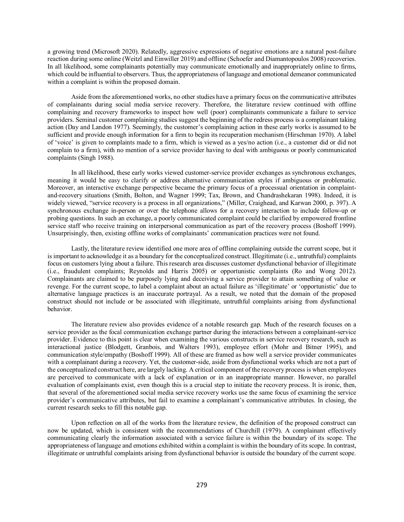a growing trend (Microsoft 2020). Relatedly, aggressive expressions of negative emotions are a natural post-failure reaction during some online (Weitzl and Einwiller 2019) and offline (Schoefer and Diamantopoulos 2008) recoveries. In all likelihood, some complainants potentially may communicate emotionally and inappropriately online to firms, which could be influential to observers. Thus, the appropriateness of language and emotional demeanor communicated within a complaint is within the proposed domain.

Aside from the aforementioned works, no other studies have a primary focus on the communicative attributes of complainants during social media service recovery. Therefore, the literature review continued with offline complaining and recovery frameworks to inspect how well (poor) complainants communicate a failure to service providers. Seminal customer complaining studies suggest the beginning of the redress process is a complainant taking action (Day and Landon 1977). Seemingly, the customer's complaining action in these early works is assumed to be sufficient and provide enough information for a firm to begin its recuperation mechanism (Hirschman 1970). A label of 'voice' is given to complaints made to a firm, which is viewed as a yes/no action (i.e., a customer did or did not complain to a firm), with no mention of a service provider having to deal with ambiguous or poorly communicated complaints (Singh 1988).

In all likelihood, these early works viewed customer-service provider exchanges as synchronous exchanges, meaning it would be easy to clarify or address alternative communication styles if ambiguous or problematic. Moreover, an interactive exchange perspective became the primary focus of a processual orientation in complaintand-recovery situations (Smith, Bolton, and Wagner 1999; Tax, Brown, and Chandrashekaran 1998). Indeed, it is widely viewed, "service recovery is a process in all organizations," (Miller, Craighead, and Karwan 2000, p. 397). A synchronous exchange in-person or over the telephone allows for a recovery interaction to include follow-up or probing questions. In such an exchange, a poorly communicated complaint could be clarified by empowered frontline service staff who receive training on interpersonal communication as part of the recovery process (Boshoff 1999). Unsurprisingly, then, existing offline works of complainants' communication practices were not found.

Lastly, the literature review identified one more area of offline complaining outside the current scope, but it is important to acknowledge it as a boundary for the conceptualized construct. Illegitimate (i.e., untruthful) complaints focus on customers lying about a failure. This research area discusses customer dysfunctional behavior of illegitimate (i.e., fraudulent complaints; Reynolds and Harris 2005) or opportunistic complaints (Ro and Wong 2012). Complainants are claimed to be purposely lying and deceiving a service provider to attain something of value or revenge. For the current scope, to label a complaint about an actual failure as 'illegitimate' or 'opportunistic' due to alternative language practices is an inaccurate portrayal. As a result, we noted that the domain of the proposed construct should not include or be associated with illegitimate, untruthful complaints arising from dysfunctional behavior.

The literature review also provides evidence of a notable research gap. Much of the research focuses on a service provider as the focal communication exchange partner during the interactions between a complainant-service provider. Evidence to this point is clear when examining the various constructs in service recovery research, such as interactional justice (Blodgett, Granbois, and Walters 1993), employee effort (Mohr and Bitner 1995), and communication style/empathy (Boshoff 1999). All of these are framed as how well a service provider communicates with a complainant during a recovery. Yet, the customer-side, aside from dysfunctional works which are not a part of the conceptualized construct here, are largely lacking. A critical component of the recovery process is when employees are perceived to communicate with a lack of explanation or in an inappropriate manner. However, no parallel evaluation of complainants exist, even though this is a crucial step to initiate the recovery process. It is ironic, then, that several of the aforementioned social media service recovery works use the same focus of examining the service provider's communicative attributes, but fail to examine a complainant's communicative attributes. In closing, the current research seeks to fill this notable gap.

Upon reflection on all of the works from the literature review, the definition of the proposed construct can now be updated, which is consistent with the recommendations of Churchill (1979). A complainant effectively communicating clearly the information associated with a service failure is within the boundary of its scope. The appropriateness of language and emotions exhibited within a complaint is within the boundary of its scope. In contrast, illegitimate or untruthful complaints arising from dysfunctional behavior is outside the boundary of the current scope.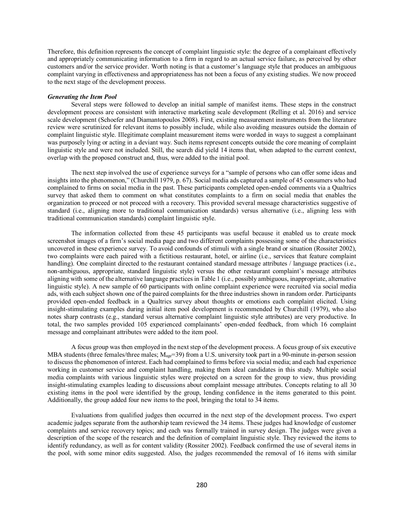Therefore, this definition represents the concept of complaint linguistic style: the degree of a complainant effectively and appropriately communicating information to a firm in regard to an actual service failure, as perceived by other customers and/or the service provider. Worth noting is that a customer's language style that produces an ambiguous complaint varying in effectiveness and appropriateness has not been a focus of any existing studies. We now proceed to the next stage of the development process.

#### *Generating the Item Pool*

Several steps were followed to develop an initial sample of manifest items. These steps in the construct development process are consistent with interactive marketing scale development (Relling et al. 2016) and service scale development (Schoefer and Diamantopoulos 2008). First, existing measurement instruments from the literature review were scrutinized for relevant items to possibly include, while also avoiding measures outside the domain of complaint linguistic style. Illegitimate complaint measurement items were worded in ways to suggest a complainant was purposely lying or acting in a deviant way. Such items represent concepts outside the core meaning of complaint linguistic style and were not included. Still, the search did yield 14 items that, when adapted to the current context, overlap with the proposed construct and, thus, were added to the initial pool.

The next step involved the use of experience surveys for a "sample of persons who can offer some ideas and insights into the phenomenon," (Churchill 1979, p. 67). Social media ads captured a sample of 45 consumers who had complained to firms on social media in the past. These participants completed open-ended comments via a Qualtrics survey that asked them to comment on what constitutes complaints to a firm on social media that enables the organization to proceed or not proceed with a recovery. This provided several message characteristics suggestive of standard (i.e., aligning more to traditional communication standards) versus alternative (i.e., aligning less with traditional communication standards) complaint linguistic style.

The information collected from these 45 participants was useful because it enabled us to create mock screenshot images of a firm's social media page and two different complaints possessing some of the characteristics uncovered in these experience survey. To avoid confounds of stimuli with a single brand or situation (Rossiter 2002), two complaints were each paired with a fictitious restaurant, hotel, or airline (i.e., services that feature complaint handling). One complaint directed to the restaurant contained standard message attributes / language practices (i.e., non-ambiguous, appropriate, standard linguistic style) versus the other restaurant complaint's message attributes aligning with some of the alternative language practices in Table 1 (i.e., possibly ambiguous, inappropriate, alternative linguistic style). A new sample of 60 participants with online complaint experience were recruited via social media ads, with each subject shown one of the paired complaints for the three industries shown in random order. Participants provided open-ended feedback in a Qualtrics survey about thoughts or emotions each complaint elicited. Using insight-stimulating examples during initial item pool development is recommended by Churchill (1979), who also notes sharp contrasts (e.g., standard versus alternative complaint linguistic style attributes) are very productive. In total, the two samples provided 105 experienced complainants' open-ended feedback, from which 16 complaint message and complainant attributes were added to the item pool.

A focus group was then employed in the next step of the development process. A focus group of six executive MBA students (three females/three males;  $M_{\text{age}}$ =39) from a U.S. university took part in a 90-minute in-person session to discuss the phenomenon of interest. Each had complained to firms before via social media; and each had experience working in customer service and complaint handling, making them ideal candidates in this study. Multiple social media complaints with various linguistic styles were projected on a screen for the group to view, thus providing insight-stimulating examples leading to discussions about complaint message attributes. Concepts relating to all 30 existing items in the pool were identified by the group, lending confidence in the items generated to this point. Additionally, the group added four new items to the pool, bringing the total to 34 items.

Evaluations from qualified judges then occurred in the next step of the development process. Two expert academic judges separate from the authorship team reviewed the 34 items. These judges had knowledge of customer complaints and service recovery topics; and each was formally trained in survey design. The judges were given a description of the scope of the research and the definition of complaint linguistic style. They reviewed the items to identify redundancy, as well as for content validity (Rossiter 2002). Feedback confirmed the use of several items in the pool, with some minor edits suggested. Also, the judges recommended the removal of 16 items with similar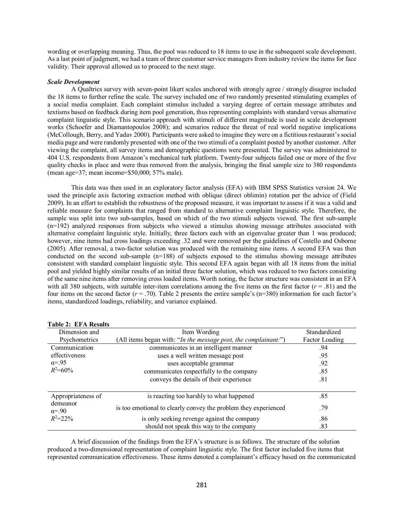wording or overlapping meaning. Thus, the pool was reduced to 18 items to use in the subsequent scale development. As a last point of judgment, we had a team of three customer service managers from industry review the items for face validity. Their approval allowed us to proceed to the next stage.

## *Scale Development*

A Qualtrics survey with seven-point likert scales anchored with strongly agree / strongly disagree included the 18 items to further refine the scale. The survey included one of two randomly presented stimulating examples of a social media complaint. Each complaint stimulus included a varying degree of certain message attributes and textisms based on feedback during item pool generation, thus representing complaints with standard versus alternative complaint linguistic style. This scenario approach with stimuli of different magnitude is used in scale development works (Schoefer and Diamantopoulos 2008); and scenarios reduce the threat of real world negative implications (McCollough, Berry, and Yadav 2000). Participants were asked to imagine they were on a fictitious restaurant's social media page and were randomly presented with one of the two stimuli of a complaint posted by another customer. After viewing the complaint, all survey items and demographic questions were presented. The survey was administered to 404 U.S. respondents from Amazon's mechanical turk platform. Twenty-four subjects failed one or more of the five quality checks in place and were thus removed from the analysis, bringing the final sample size to 380 respondents (mean age=37; mean income=\$50,000; 57% male).

This data was then used in an exploratory factor analysis (EFA) with IBM SPSS Statistics version 24. We used the principle axis factoring extraction method with oblique (direct oblimin) rotation per the advice of (Field 2009). In an effort to establish the robustness of the proposed measure, it was important to assess if it was a valid and reliable measure for complaints that ranged from standard to alternative complaint linguistic style. Therefore, the sample was split into two sub-samples, based on which of the two stimuli subjects viewed. The first sub-sample  $(n=192)$  analyzed responses from subjects who viewed a stimulus showing message attributes associated with alternative complaint linguistic style. Initially, three factors each with an eigenvalue greater than 1 was produced; however, nine items had cross loadings exceeding .32 and were removed per the guidelines of Costello and Osborne (2005). After removal, a two-factor solution was produced with the remaining nine items. A second EFA was then conducted on the second sub-sample (n=188) of subjects exposed to the stimulus showing message attributes consistent with standard complaint linguistic style. This second EFA again began with all 18 items from the initial pool and yielded highly similar results of an initial three factor solution, which was reduced to two factors consisting of the same nine items after removing cross loaded items. Worth noting, the factor structure was consistent in an EFA with all 380 subjects, with suitable inter-item correlations among the five items on the first factor  $(r = .81)$  and the four items on the second factor  $(r = .70)$ . Table 2 presents the entire sample's  $(n=380)$  information for each factor's items, standardized loadings, reliability, and variance explained.

| $140R2$ . EFARSHIS<br>Dimension and                              | Item Wording                                                    | Standardized   |
|------------------------------------------------------------------|-----------------------------------------------------------------|----------------|
| Psychometrics                                                    | (All items began with: "In the message post, the complainant:") | Factor Loading |
| Communication<br>effectiveness<br>$\alpha = 95$<br>$R^2 = 60\%$  | communicates in an intelligent manner                           | .94            |
|                                                                  | uses a well written message post                                | .95            |
|                                                                  | uses acceptable grammar                                         | .92            |
|                                                                  | communicates respectfully to the company                        | .85            |
|                                                                  | conveys the details of their experience                         | .81            |
| Appropriateness of<br>demeanor<br>$\alpha = .90$<br>$R^2 = 22\%$ | is reacting too harshly to what happened                        | .85            |
|                                                                  | is too emotional to clearly convey the problem they experienced | -79            |
|                                                                  | is only seeking revenge against the company                     | .86            |
|                                                                  | should not speak this way to the company                        | .83            |

# **Table 2: EFA Results**

A brief discussion of the findings from the EFA's structure is as follows. The structure of the solution produced a two-dimensional representation of complaint linguistic style. The first factor included five items that represented communication effectiveness. These items denoted a complainant's efficacy based on the communicated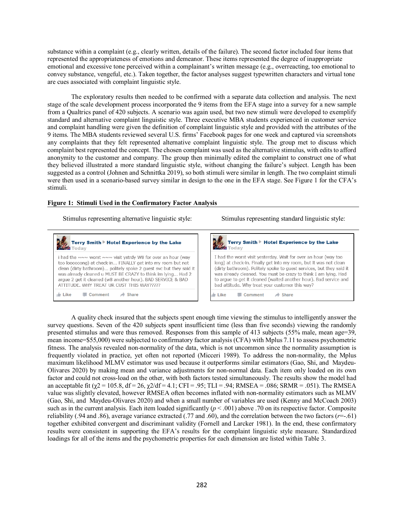substance within a complaint (e.g., clearly written, details of the failure). The second factor included four items that represented the appropriateness of emotions and demeanor. These items represented the degree of inappropriate emotional and excessive tone perceived within a complainant's written message (e.g., overreacting, too emotional to convey substance, vengeful, etc.). Taken together, the factor analyses suggest typewritten characters and virtual tone are cues associated with complaint linguistic style.

The exploratory results then needed to be confirmed with a separate data collection and analysis. The next stage of the scale development process incorporated the 9 items from the EFA stage into a survey for a new sample from a Qualtrics panel of 420 subjects. A scenario was again used, but two new stimuli were developed to exemplify standard and alternative complaint linguistic style. Three executive MBA students experienced in customer service and complaint handling were given the definition of complaint linguistic style and provided with the attributes of the 9 items. The MBA students reviewed several U.S. firms' Facebook pages for one week and captured via screenshots any complaints that they felt represented alternative complaint linguistic style. The group met to discuss which complaint best represented the concept. The chosen complaint was used as the alternative stimulus, with edits to afford anonymity to the customer and company. The group then minimally edited the complaint to construct one of what they believed illustrated a more standard linguistic style, without changing the failure's subject. Length has been suggested as a control (Johnen and Schnittka 2019), so both stimuli were similar in length. The two complaint stimuli were then used in a scenario-based survey similar in design to the one in the EFA stage. See Figure 1 for the CFA's stimuli.

## **Figure 1: Stimuli Used in the Confirmatory Factor Analysis**

#### Stimulus representing alternative linguistic style: Stimulus representing standard linguistic style:



A quality check insured that the subjects spent enough time viewing the stimulus to intelligently answer the survey questions. Seven of the 420 subjects spent insufficient time (less than five seconds) viewing the randomly presented stimulus and were thus removed. Responses from this sample of 413 subjects (55% male, mean age=39, mean income=\$55,000) were subjected to confirmatory factor analysis (CFA) with Mplus 7.11 to assess psychometric fitness. The analysis revealed non-normality of the data, which is not uncommon since the normality assumption is frequently violated in practice, yet often not reported (Micceri 1989). To address the non-normality, the Mplus maximum likelihood MLMV estimator was used because it outperforms similar estimators (Gao, Shi, and Maydeu-Olivares 2020) by making mean and variance adjustments for non-normal data. Each item only loaded on its own factor and could not cross-load on the other, with both factors tested simultaneously. The results show the model had an acceptable fit ( $\chi$ 2 = 105.8, df = 26,  $\chi$ 2/df = 4.1; CFI = .95; TLI = .94; RMSEA = .086; SRMR = .051). The RMSEA value was slightly elevated, however RMSEA often becomes inflated with non-normality estimators such as MLMV (Gao, Shi, and Maydeu-Olivares 2020) and when a small number of variables are used (Kenny and McCoach 2003) such as in the current analysis. Each item loaded significantly  $(p < .001)$  above .70 on its respective factor. Composite reliability (.94 and .86), average variance extracted (.77 and .60), and the correlation between the two factors  $(r=.61)$ together exhibited convergent and discriminant validity (Fornell and Larcker 1981). In the end, these confirmatory results were consistent in supporting the EFA's results for the complaint linguistic style measure. Standardized loadings for all of the items and the psychometric properties for each dimension are listed within Table 3.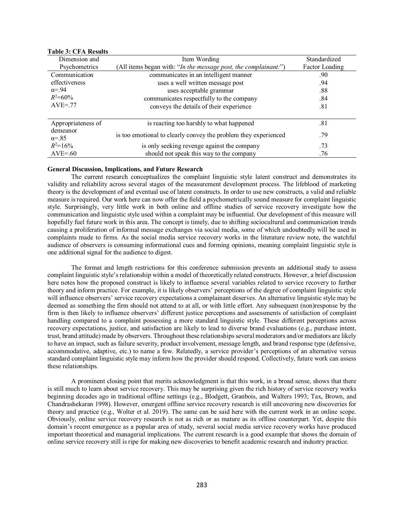| Dimension and                                     | Item Wording                                                    | Standardized   |
|---------------------------------------------------|-----------------------------------------------------------------|----------------|
| Psychometrics                                     | (All items began with: "In the message post, the complainant:") | Factor Loading |
| Communication                                     | communicates in an intelligent manner                           | .90            |
| effectiveness                                     | uses a well written message post                                | .94            |
| $\alpha = .94$                                    | uses acceptable grammar                                         | .88            |
| $R^2 = 60\%$<br>$AVE = 77$                        | communicates respectfully to the company                        | .84            |
|                                                   | conveys the details of their experience                         | .81            |
|                                                   |                                                                 |                |
| Appropriateness of<br>demeanor<br>$\alpha = 0.85$ | is reacting too harshly to what happened                        | .81            |
|                                                   | is too emotional to clearly convey the problem they experienced | 79             |
| $R^2 = 16\%$                                      | is only seeking revenge against the company                     |                |
| $AVE = 60$                                        | should not speak this way to the company                        | 76             |

# **Table 3: CFA Results**

## **General Discussion, Implications, and Future Research**

The current research conceptualizes the complaint linguistic style latent construct and demonstrates its validity and reliability across several stages of the measurement development process. The lifeblood of marketing theory is the development of and eventual use of latent constructs. In order to use new constructs, a valid and reliable measure is required. Our work here can now offer the field a psychometrically sound measure for complaint linguistic style. Surprisingly, very little work in both online and offline studies of service recovery investigate how the communication and linguistic style used within a complaint may be influential. Our development of this measure will hopefully fuel future work in this area. The concept is timely, due to shifting sociocultural and communication trends causing a proliferation of informal message exchanges via social media, some of which undoubtedly will be used in complaints made to firms. As the social media service recovery works in the literature review note, the watchful audience of observers is consuming informational cues and forming opinions, meaning complaint linguistic style is one additional signal for the audience to digest.

The format and length restrictions for this conference submission prevents an additional study to assess complaint linguistic style's relationship within a model of theoretically related constructs. However, a brief discussion here notes how the proposed construct is likely to influence several variables related to service recovery to further theory and inform practice. For example, it is likely observers' perceptions of the degree of complaint linguistic style will influence observers' service recovery expectations a complainant deserves. An alternative linguistic style may be deemed as something the firm should not attend to at all, or with little effort. Any subsequent (non)response by the firm is then likely to influence observers' different justice perceptions and assessments of satisfaction of complaint handling compared to a complaint possessing a more standard linguistic style. These different perceptions across recovery expectations, justice, and satisfaction are likely to lead to diverse brand evaluations (e.g., purchase intent, trust, brand attitude) made by observers. Throughout these relationships several moderators and/or mediators are likely to have an impact, such as failure severity, product involvement, message length, and brand response type (defensive, accommodative, adaptive, etc.) to name a few. Relatedly, a service provider's perceptions of an alternative versus standard complaint linguistic style may inform how the provider should respond. Collectively, future work can assess these relationships.

A prominent closing point that merits acknowledgment is that this work, in a broad sense, shows that there is still much to learn about service recovery. This may be surprising given the rich history of service recovery works beginning decades ago in traditional offline settings (e.g., Blodgett, Granbois, and Walters 1993; Tax, Brown, and Chandrashekaran 1998). However, emergent offline service recovery research is still uncovering new discoveries for theory and practice (e.g., Wolter et al. 2019). The same can be said here with the current work in an online scope. Obviously, online service recovery research is not as rich or as mature as its offline counterpart. Yet, despite this domain's recent emergence as a popular area of study, several social media service recovery works have produced important theoretical and managerial implications. The current research is a good example that shows the domain of online service recovery still is ripe for making new discoveries to benefit academic research and industry practice.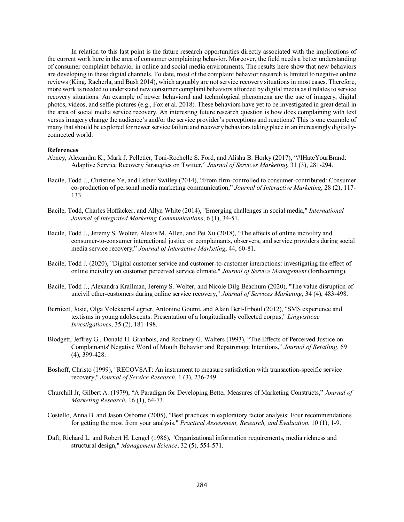In relation to this last point is the future research opportunities directly associated with the implications of the current work here in the area of consumer complaining behavior. Moreover, the field needs a better understanding of consumer complaint behavior in online and social media environments. The results here show that new behaviors are developing in these digital channels. To date, most of the complaint behavior research is limited to negative online reviews (King, Racherla, and Bush 2014), which arguably are not service recovery situations in most cases. Therefore, more work is needed to understand new consumer complaint behaviors afforded by digital media as it relates to service recovery situations. An example of newer behavioral and technological phenomena are the use of imagery, digital photos, videos, and selfie pictures (e.g., Fox et al. 2018). These behaviors have yet to be investigated in great detail in the area of social media service recovery. An interesting future research question is how does complaining with text versus imagery change the audience's and/or the service provider's perceptions and reactions? This is one example of many that should be explored for newer service failure and recovery behaviors taking place in an increasingly digitallyconnected world.

#### **References**

- Abney, Alexandra K., Mark J. Pelletier, Toni-Rochelle S. Ford, and Alisha B. Horky (2017), "#IHateYourBrand: Adaptive Service Recovery Strategies on Twitter," *Journal of Services Marketing*, 31 (3), 281-294.
- Bacile, Todd J., Christine Ye, and Esther Swilley (2014), "From firm-controlled to consumer-contributed: Consumer co-production of personal media marketing communication," *Journal of Interactive Marketing*, 28 (2), 117- 133.
- Bacile, Todd, Charles Hoffacker, and Allyn White (2014), "Emerging challenges in social media," *International Journal of Integrated Marketing Communications*, 6 (1), 34-51.
- Bacile, Todd J., Jeremy S. Wolter, Alexis M. Allen, and Pei Xu (2018), "The effects of online incivility and consumer-to-consumer interactional justice on complainants, observers, and service providers during social media service recovery," *Journal of Interactive Marketing*, 44, 60-81.
- Bacile, Todd J. (2020), "Digital customer service and customer-to-customer interactions: investigating the effect of online incivility on customer perceived service climate," *Journal of Service Management* (forthcoming).
- Bacile, Todd J., Alexandra Krallman, Jeremy S. Wolter, and Nicole Dilg Beachum (2020), "The value disruption of uncivil other-customers during online service recovery," *Journal of Services Marketing*, 34 (4), 483-498.
- Bernicot, Josie, Olga Volckaert-Legrier, Antonine Goumi, and Alain Bert-Erboul (2012), "SMS experience and textisms in young adolescents: Presentation of a longitudinally collected corpus," *Lingvisticae Investigationes*, 35 (2), 181-198.
- Blodgett, Jeffrey G., Donald H. Granbois, and Rockney G. Walters (1993), "The Effects of Perceived Justice on Complainants' Negative Word of Mouth Behavior and Repatronage Intentions," *Journal of Retailing*, 69 (4), 399-428.
- Boshoff, Christo (1999), "RECOVSAT: An instrument to measure satisfaction with transaction-specific service recovery," *Journal of Service Research*, 1 (3), 236-249.
- Churchill Jr, Gilbert A. (1979), "A Paradigm for Developing Better Measures of Marketing Constructs," *Journal of Marketing Research*, 16 (1), 64-73.
- Costello, Anna B. and Jason Osborne (2005), "Best practices in exploratory factor analysis: Four recommendations for getting the most from your analysis," *Practical Assessment, Research, and Evaluation*, 10 (1), 1-9.
- Daft, Richard L. and Robert H. Lengel (1986), "Organizational information requirements, media richness and structural design," *Management Science*, 32 (5), 554-571.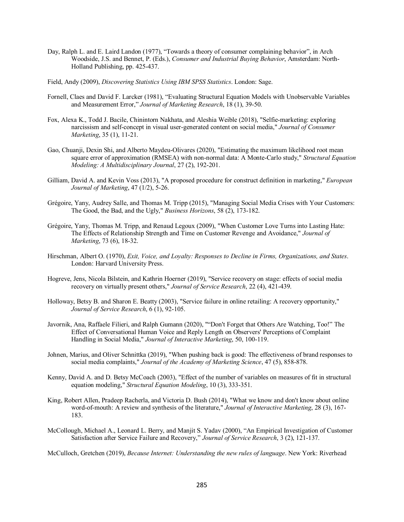- Day, Ralph L. and E. Laird Landon (1977), "Towards a theory of consumer complaining behavior", in Arch Woodside, J.S. and Bennet, P. (Eds.), *Consumer and Industrial Buying Behavior*, Amsterdam: North-Holland Publishing, pp. 425-437.
- Field, Andy (2009), *Discovering Statistics Using IBM SPSS Statistics*. London: Sage.
- Fornell, Claes and David F. Larcker (1981), "Evaluating Structural Equation Models with Unobservable Variables and Measurement Error," *Journal of Marketing Research*, 18 (1), 39-50.
- Fox, Alexa K., Todd J. Bacile, Chinintorn Nakhata, and Aleshia Weible (2018), "Selfie-marketing: exploring narcissism and self-concept in visual user-generated content on social media," *Journal of Consumer Marketing*, 35 (1), 11-21.
- Gao, Chuanji, Dexin Shi, and Alberto Maydeu-Olivares (2020), "Estimating the maximum likelihood root mean square error of approximation (RMSEA) with non-normal data: A Monte-Carlo study," *Structural Equation Modeling: A Multidisciplinary Journal*, 27 (2), 192-201.
- Gilliam, David A. and Kevin Voss (2013), "A proposed procedure for construct definition in marketing," *European Journal of Marketing*, 47 (1/2), 5-26.
- Grégoire, Yany, Audrey Salle, and Thomas M. Tripp (2015), "Managing Social Media Crises with Your Customers: The Good, the Bad, and the Ugly," *Business Horizons*, 58 (2), 173-182.
- Grégoire, Yany, Thomas M. Tripp, and Renaud Legoux (2009), "When Customer Love Turns into Lasting Hate: The Effects of Relationship Strength and Time on Customer Revenge and Avoidance," *Journal of Marketing*, 73 (6), 18-32.
- Hirschman, Albert O. (1970), *Exit, Voice, and Loyalty: Responses to Decline in Firms, Organizations, and States*. London: Harvard University Press.
- Hogreve, Jens, Nicola Bilstein, and Kathrin Hoerner (2019), "Service recovery on stage: effects of social media recovery on virtually present others," *Journal of Service Research*, 22 (4), 421-439.
- Holloway, Betsy B. and Sharon E. Beatty (2003), "Service failure in online retailing: A recovery opportunity," *Journal of Service Research*, 6 (1), 92-105.
- Javornik, Ana, Raffaele Filieri, and Ralph Gumann (2020), ""Don't Forget that Others Are Watching, Too!" The Effect of Conversational Human Voice and Reply Length on Observers' Perceptions of Complaint Handling in Social Media," *Journal of Interactive Marketing*, 50, 100-119.
- Johnen, Marius, and Oliver Schnittka (2019), "When pushing back is good: The effectiveness of brand responses to social media complaints," *Journal of the Academy of Marketing Science*, 47 (5), 858-878.
- Kenny, David A. and D. Betsy McCoach (2003), "Effect of the number of variables on measures of fit in structural equation modeling," *Structural Equation Modeling*, 10 (3), 333-351.
- King, Robert Allen, Pradeep Racherla, and Victoria D. Bush (2014), "What we know and don't know about online word-of-mouth: A review and synthesis of the literature," *Journal of Interactive Marketing*, 28 (3), 167- 183.
- McCollough, Michael A., Leonard L. Berry, and Manjit S. Yadav (2000), "An Empirical Investigation of Customer Satisfaction after Service Failure and Recovery," *Journal of Service Research*, 3 (2), 121-137.

McCulloch, Gretchen (2019), *Because Internet: Understanding the new rules of language*. New York: Riverhead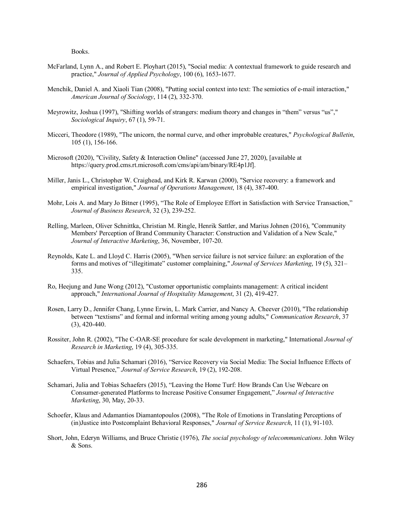Books.

- McFarland, Lynn A., and Robert E. Ployhart (2015), "Social media: A contextual framework to guide research and practice," *Journal of Applied Psychology*, 100 (6), 1653-1677.
- Menchik, Daniel A. and Xiaoli Tian (2008), "Putting social context into text: The semiotics of e-mail interaction," *American Journal of Sociology*, 114 (2), 332-370.
- Meyrowitz, Joshua (1997), "Shifting worlds of strangers: medium theory and changes in "them" versus "us"," *Sociological Inquiry*, 67 (1), 59-71.
- Micceri, Theodore (1989), "The unicorn, the normal curve, and other improbable creatures," *Psychological Bulletin*, 105 (1), 156-166.
- Microsoft (2020), "Civility, Safety & Interaction Online" (accessed June 27, 2020), [available at https://query.prod.cms.rt.microsoft.com/cms/api/am/binary/RE4p1Jf].
- Miller, Janis L., Christopher W. Craighead, and Kirk R. Karwan (2000), "Service recovery: a framework and empirical investigation," *Journal of Operations Management*, 18 (4), 387-400.
- Mohr, Lois A. and Mary Jo Bitner (1995), "The Role of Employee Effort in Satisfaction with Service Transaction," *Journal of Business Research*, 32 (3), 239-252.
- Relling, Marleen, Oliver Schnittka, Christian M. Ringle, Henrik Sattler, and Marius Johnen (2016), "Community Members' Perception of Brand Community Character: Construction and Validation of a New Scale," *Journal of Interactive Marketing*, 36, November, 107-20.
- Reynolds, Kate L. and Lloyd C. Harris (2005), "When service failure is not service failure: an exploration of the forms and motives of "illegitimate" customer complaining," *Journal of Services Marketing*, 19 (5), 321– 335.
- Ro, Heejung and June Wong (2012), "Customer opportunistic complaints management: A critical incident approach," *International Journal of Hospitality Management*, 31 (2), 419-427.
- Rosen, Larry D., Jennifer Chang, Lynne Erwin, L. Mark Carrier, and Nancy A. Cheever (2010), "The relationship between "textisms" and formal and informal writing among young adults," *Communication Research*, 37 (3), 420-440.
- Rossiter, John R. (2002), "The C-OAR-SE procedure for scale development in marketing," International *Journal of Research in Marketing*, 19 (4), 305-335.
- Schaefers, Tobias and Julia Schamari (2016), "Service Recovery via Social Media: The Social Influence Effects of Virtual Presence," *Journal of Service Research*, 19 (2), 192-208.
- Schamari, Julia and Tobias Schaefers (2015), "Leaving the Home Turf: How Brands Can Use Webcare on Consumer-generated Platforms to Increase Positive Consumer Engagement," *Journal of Interactive Marketing*, 30, May, 20-33.
- Schoefer, Klaus and Adamantios Diamantopoulos (2008), "The Role of Emotions in Translating Perceptions of (in)Justice into Postcomplaint Behavioral Responses," *Journal of Service Research*, 11 (1), 91-103.
- Short, John, Ederyn Williams, and Bruce Christie (1976), *The social psychology of telecommunications*. John Wiley & Sons.